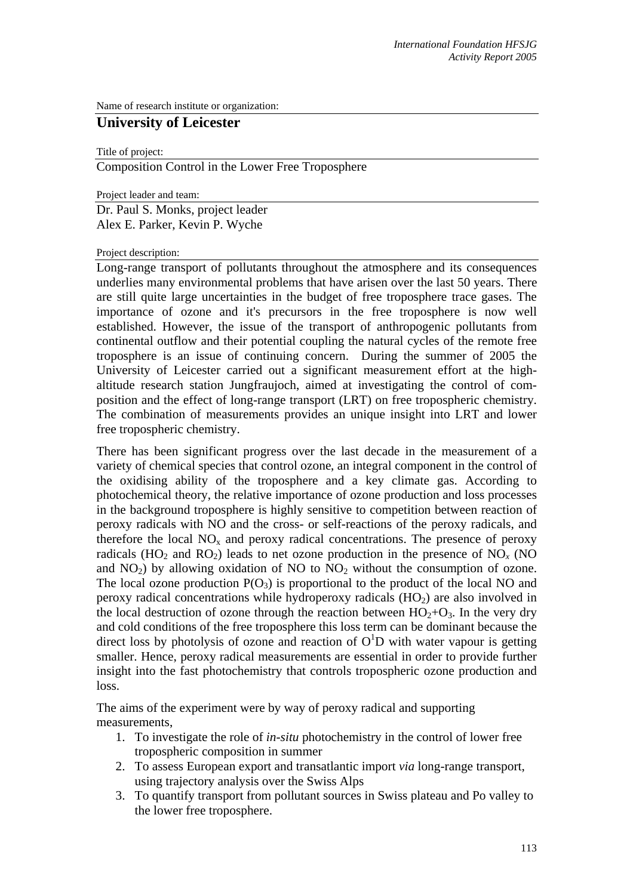Name of research institute or organization:

## **University of Leicester**

Title of project:

Composition Control in the Lower Free Troposphere

Project leader and team:

Dr. Paul S. Monks, project leader Alex E. Parker, Kevin P. Wyche

Project description:

Long-range transport of pollutants throughout the atmosphere and its consequences underlies many environmental problems that have arisen over the last 50 years. There are still quite large uncertainties in the budget of free troposphere trace gases. The importance of ozone and it's precursors in the free troposphere is now well established. However, the issue of the transport of anthropogenic pollutants from continental outflow and their potential coupling the natural cycles of the remote free troposphere is an issue of continuing concern. During the summer of 2005 the University of Leicester carried out a significant measurement effort at the highaltitude research station Jungfraujoch, aimed at investigating the control of composition and the effect of long-range transport (LRT) on free tropospheric chemistry. The combination of measurements provides an unique insight into LRT and lower free tropospheric chemistry.

There has been significant progress over the last decade in the measurement of a variety of chemical species that control ozone, an integral component in the control of the oxidising ability of the troposphere and a key climate gas. According to photochemical theory, the relative importance of ozone production and loss processes in the background troposphere is highly sensitive to competition between reaction of peroxy radicals with NO and the cross- or self-reactions of the peroxy radicals, and therefore the local  $NO<sub>x</sub>$  and peroxy radical concentrations. The presence of peroxy radicals (HO<sub>2</sub> and RO<sub>2</sub>) leads to net ozone production in the presence of NO<sub>*x*</sub> (NO and  $NO<sub>2</sub>$ ) by allowing oxidation of NO to  $NO<sub>2</sub>$  without the consumption of ozone. The local ozone production  $P(O_3)$  is proportional to the product of the local NO and peroxy radical concentrations while hydroperoxy radicals  $(HO<sub>2</sub>)$  are also involved in the local destruction of ozone through the reaction between  $HO<sub>2</sub>+O<sub>3</sub>$ . In the very dry and cold conditions of the free troposphere this loss term can be dominant because the direct loss by photolysis of ozone and reaction of  $O<sup>1</sup>D$  with water vapour is getting smaller. Hence, peroxy radical measurements are essential in order to provide further insight into the fast photochemistry that controls tropospheric ozone production and loss.

The aims of the experiment were by way of peroxy radical and supporting measurements,

- 1. To investigate the role of *in-situ* photochemistry in the control of lower free tropospheric composition in summer
- 2. To assess European export and transatlantic import *via* long-range transport, using trajectory analysis over the Swiss Alps
- 3. To quantify transport from pollutant sources in Swiss plateau and Po valley to the lower free troposphere.